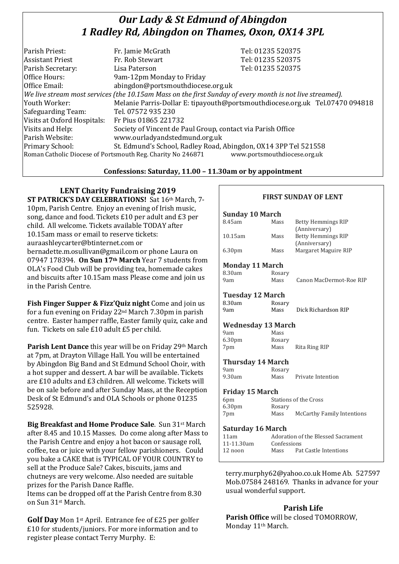# *Our Lady & St Edmund of Abingdon 1 Radley Rd, Abingdon on Thames, Oxon, OX14 3PL*

| Parish Priest:              | Fr. Jamie McGrath                                                                                        | Tel: 01235 520375                                                            |
|-----------------------------|----------------------------------------------------------------------------------------------------------|------------------------------------------------------------------------------|
|                             |                                                                                                          |                                                                              |
| <b>Assistant Priest</b>     | Fr. Rob Stewart                                                                                          | Tel: 01235 520375                                                            |
| Parish Secretary:           | Lisa Paterson                                                                                            | Tel: 01235 520375                                                            |
| Office Hours:               | 9am-12pm Monday to Friday                                                                                |                                                                              |
| Office Email:               | abingdon@portsmouthdiocese.org.uk                                                                        |                                                                              |
|                             | We live stream most services (the 10.15am Mass on the first Sunday of every month is not live streamed). |                                                                              |
| Youth Worker:               |                                                                                                          | Melanie Parris-Dollar E: tipayouth@portsmouthdiocese.org.uk Tel.07470 094818 |
| Safeguarding Team:          | Tel. 07572 935 230                                                                                       |                                                                              |
| Visits at Oxford Hospitals: | Fr Pius 01865 221732                                                                                     |                                                                              |
| Visits and Help:            | Society of Vincent de Paul Group, contact via Parish Office                                              |                                                                              |
| Parish Website:             | www.ourladyandstedmund.org.uk                                                                            |                                                                              |
| Primary School:             | St. Edmund's School, Radley Road, Abingdon, OX14 3PP Tel 521558                                          |                                                                              |
|                             | Roman Catholic Diocese of Portsmouth Reg. Charity No 246871                                              | www.portsmouthdiocese.org.uk                                                 |

#### **Confessions: Saturday, 11.00 – 11.30am or by appointment**

### **LENT Charity Fundraising 2019**

**ST PATRICK'S DAY CELEBRATIONS!** Sat 16th March, 7- 10pm, Parish Centre. Enjoy an evening of Irish music, song, dance and food. Tickets £10 per adult and £3 per child. All welcome. Tickets available TODAY after 10.15am mass or email to reserve tickets: auraashleycarter@btinternet.com or bernadette.m.osullivan@gmail.com or phone Laura on 07947 178394. **On Sun 17th March** Year 7 students from OLA's Food Club will be providing tea, homemade cakes and biscuits after 10.15am mass Please come and join us in the Parish Centre.

**Fish Finger Supper & Fizz'Quiz night** Come and join us for a fun evening on Friday 22nd March 7.30pm in parish centre. Easter hamper raffle, Easter family quiz, cake and fun. Tickets on sale £10 adult £5 per child.

**Parish Lent Dance** this year will be on Friday 29th March at 7pm, at Drayton Village Hall. You will be entertained by Abingdon Big Band and St Edmund School Choir, with a hot supper and dessert. A bar will be available. Tickets are £10 adults and £3 children. All welcome. Tickets will be on sale before and after Sunday Mass, at the Reception Desk of St Edmund's and OLA Schools or phone 01235 525928.

**Big Breakfast and Home Produce Sale**. Sun 31st March after 8.45 and 10.15 Masses. Do come along after Mass to the Parish Centre and enjoy a hot bacon or sausage roll, coffee, tea or juice with your fellow parishioners. Could you bake a CAKE that is TYPICAL OF YOUR COUNTRY to sell at the Produce Sale? Cakes, biscuits, jams and chutneys are very welcome. Also needed are suitable prizes for the Parish Dance Raffle. Items can be dropped off at the Parish Centre from 8.30 on Sun 31st March.

**Golf Day** Mon 1st April. Entrance fee of £25 per golfer £10 for students/juniors. For more information and to register please contact Terry Murphy. E:

## **Sunday 10 March** 8.45am Mass Betty Hemmings RIP (Anniversary) 10.15am Mass Betty Hemmings RIP (Anniversary) 6.30pm Mass Margaret Maguire RIP **Monday 11 March** 8.30am Rosary 9am Mass Canon MacDermot-Roe RIP **Tuesday 12 March**

**FIRST SUNDAY OF LENT**

| 8.30am | Rosary |                     |
|--------|--------|---------------------|
| 9am    | Mass   | Dick Richardson RIP |
|        |        |                     |

#### **Wednesday 13 March**

| 9am                | Mass   |               |
|--------------------|--------|---------------|
| 6.30 <sub>pm</sub> | Rosary |               |
| 7pm                | Mass   | Rita Ring RIP |

#### **Thursday 14 March**

| 9am    | Rosary |                   |
|--------|--------|-------------------|
| 9.30am | Mass   | Private Intention |

#### **Friday 15 March**

| 6 <sub>pm</sub>    |        | Stations of the Cross             |
|--------------------|--------|-----------------------------------|
| 6.30 <sub>pm</sub> | Rosary |                                   |
| 7pm                | Mass   | <b>McCarthy Family Intentions</b> |

#### **Saturday 16 March**

| 11am       |             | Adoration of the Blessed Sacrament |
|------------|-------------|------------------------------------|
| 11-11.30am | Confessions |                                    |
| $12$ noon  | Mass        | Pat Castle Intentions              |

terry.murphy62@yahoo.co.uk Home Ab. 527597 Mob.07584 248169. Thanks in advance for your usual wonderful support.

# **Parish Life**

**Parish Office** will be closed TOMORROW, Monday 11<sup>th</sup> March.